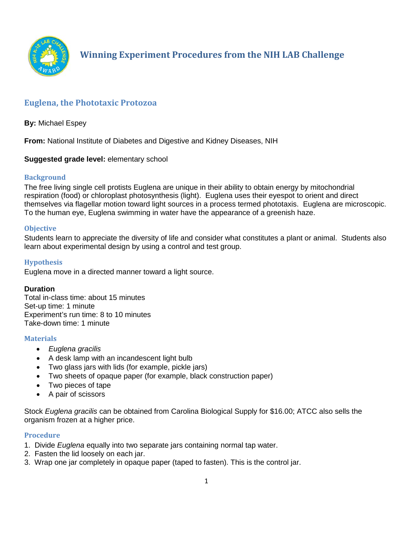

# **Euglena, the Phototaxic Protozoa**

**By:** Michael Espey

**From:** National Institute of Diabetes and Digestive and Kidney Diseases, NIH

# **Suggested grade level:** elementary school

## **Background**

The free living single cell protists Euglena are unique in their ability to obtain energy by mitochondrial respiration (food) or chloroplast photosynthesis (light). Euglena uses their eyespot to orient and direct themselves via flagellar motion toward light sources in a process termed phototaxis. Euglena are microscopic. To the human eye, Euglena swimming in water have the appearance of a greenish haze.

## **Objective**

Students learn to appreciate the diversity of life and consider what constitutes a plant or animal. Students also learn about experimental design by using a control and test group.

# **Hypothesis**

Euglena move in a directed manner toward a light source.

## **Duration**

Total in-class time: about 15 minutes Set-up time: 1 minute Experiment's run time: 8 to 10 minutes Take-down time: 1 minute

#### **Materials**

- *Euglena gracilis*
- A desk lamp with an incandescent light bulb
- Two glass jars with lids (for example, pickle jars)
- Two sheets of opaque paper (for example, black construction paper)
- Two pieces of tape
- A pair of scissors

Stock *Euglena gracilis* can be obtained from Carolina Biological Supply for \$16.00; ATCC also sells the organism frozen at a higher price.

#### **Procedure**

- 1. Divide *Euglena* equally into two separate jars containing normal tap water.
- 2. Fasten the lid loosely on each jar.
- 3. Wrap one jar completely in opaque paper (taped to fasten). This is the control jar.